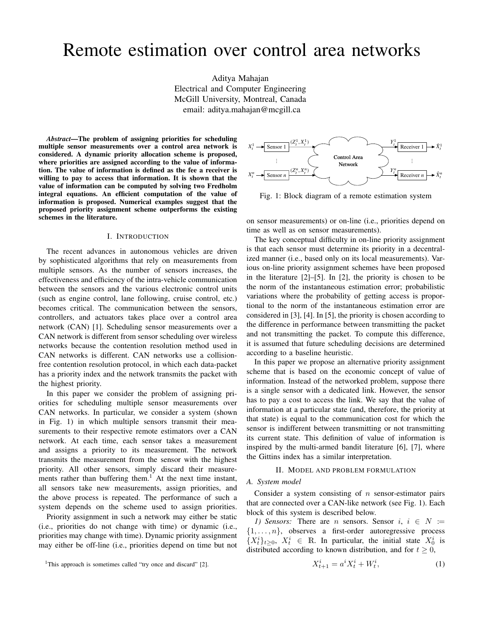# Remote estimation over control area networks

Aditya Mahajan Electrical and Computer Engineering McGill University, Montreal, Canada email: aditya.mahajan@mcgill.ca

*Abstract***—The problem of assigning priorities for scheduling multiple sensor measurements over a control area network is considered. A dynamic priority allocation scheme is proposed, where priorities are assigned according to the value of information. The value of information is defined as the fee a receiver is willing to pay to access that information. It is shown that the value of information can be computed by solving two Fredholm integral equations. An efficient computation of the value of information is proposed. Numerical examples suggest that the proposed priority assignment scheme outperforms the existing schemes in the literature.**

#### I. INTRODUCTION

The recent advances in autonomous vehicles are driven by sophisticated algorithms that rely on measurements from multiple sensors. As the number of sensors increases, the effectiveness and efficiency of the intra-vehicle communication between the sensors and the various electronic control units (such as engine control, lane following, cruise control, etc.) becomes critical. The communication between the sensors, controllers, and actuators takes place over a control area network (CAN) [1]. Scheduling sensor measurements over a CAN network is different from sensor scheduling over wireless networks because the contention resolution method used in CAN networks is different. CAN networks use a collisionfree contention resolution protocol, in which each data-packet has a priority index and the network transmits the packet with the highest priority.

In this paper we consider the problem of assigning priorities for scheduling multiple sensor measurements over CAN networks. In particular, we consider a system (shown in Fig. 1) in which multiple sensors transmit their measurements to their respective remote estimators over a CAN network. At each time, each sensor takes a measurement and assigns a priority to its measurement. The network transmits the measurement from the sensor with the highest priority. All other sensors, simply discard their measurements rather than buffering them.<sup>1</sup> At the next time instant, all sensors take new measurements, assign priorities, and the above process is repeated. The performance of such a system depends on the scheme used to assign priorities.

Priority assignment in such a network may either be static (i.e., priorities do not change with time) or dynamic (i.e., priorities may change with time). Dynamic priority assignment may either be off-line (i.e., priorities depend on time but not



Fig. 1: Block diagram of a remote estimation system

on sensor measurements) or on-line (i.e., priorities depend on time as well as on sensor measurements).

The key conceptual difficulty in on-line priority assignment is that each sensor must determine its priority in a decentralized manner (i.e., based only on its local measurements). Various on-line priority assignment schemes have been proposed in the literature [2]–[5]. In [2], the priority is chosen to be the norm of the instantaneous estimation error; probabilistic variations where the probability of getting access is proportional to the norm of the instantaneous estimation error are considered in [3], [4]. In [5], the priority is chosen according to the difference in performance between transmitting the packet and not transmitting the packet. To compute this difference, it is assumed that future scheduling decisions are determined according to a baseline heuristic.

In this paper we propose an alternative priority assignment scheme that is based on the economic concept of value of information. Instead of the networked problem, suppose there is a single sensor with a dedicated link. However, the sensor has to pay a cost to access the link. We say that the value of information at a particular state (and, therefore, the priority at that state) is equal to the communication cost for which the sensor is indifferent between transmitting or not transmitting its current state. This definition of value of information is inspired by the multi-armed bandit literature [6], [7], where the Gittins index has a similar interpretation.

## II. MODEL AND PROBLEM FORMULATION

# *A. System model*

Consider a system consisting of  $n$  sensor-estimator pairs that are connected over a CAN-like network (see Fig. 1). Each block of this system is described below.

*1)* Sensors: There are *n* sensors. Sensor  $i, i \in N :=$  $\{1,\ldots,n\}$ , observes a first-order autoregressive process  $\{X_t^i\}_{t\geq0},\ X_t^i\ \in\ \mathbb{R}$ . In particular, the initial state  $X_0^i$  is distributed according to known distribution, and for  $t \geq 0$ ,

$$
X_{t+1}^i = a^i X_t^i + W_t^i, \tag{1}
$$

<sup>&</sup>lt;sup>1</sup>This approach is sometimes called "try once and discard" [2].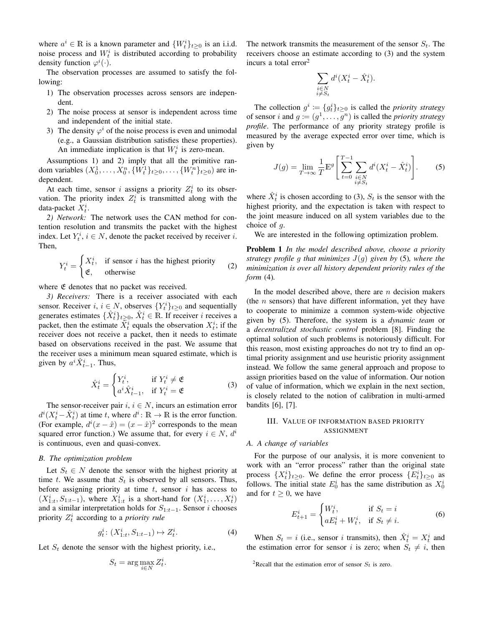where  $a^i \in \mathbb{R}$  is a known parameter and  $\{W_t^i\}_{t \geq 0}$  is an i.i.d. noise process and  $W_t^i$  is distributed according to probability density function  $\varphi^i(\cdot)$ .

The observation processes are assumed to satisfy the following:

- 1) The observation processes across sensors are independent.
- 2) The noise process at sensor is independent across time and independent of the initial state.
- 3) The density  $\varphi^i$  of the noise process is even and unimodal (e.g., a Gaussian distribution satisfies these properties). An immediate implication is that  $W_t^i$  is zero-mean.

Assumptions 1) and 2) imply that all the primitive random variables  $(X_0^1, ..., X_0^n, \{W_t^1\}_{t \ge 0}, ..., \{W_t^n\}_{t \ge 0})$  are independent.

At each time, sensor *i* assigns a priority  $Z_t^i$  to its observation. The priority index  $Z_t^i$  is transmitted along with the data-packet  $X_t^i$ .

*2) Network:* The network uses the CAN method for contention resolution and transmits the packet with the highest index. Let  $Y_t^i$ ,  $i \in N$ , denote the packet received by receiver i. Then,

$$
Y_t^i = \begin{cases} X_t^i, & \text{if sensor } i \text{ has the highest priority} \\ \mathfrak{E}, & \text{otherwise} \end{cases} \tag{2}
$$

where  $E$  denotes that no packet was received.

*3) Receivers:* There is a receiver associated with each sensor. Receiver  $i, i \in N$ , observes  $\{Y_t^i\}_{t \geq 0}$  and sequentially generates estimates  $\{\hat{X}_t^i\}_{t \geq 0}, \hat{X}_t^i \in \mathbb{R}$ . If receiver *i* receives a packet, then the estimate  $\tilde{X}_t^i$  equals the observation  $X_t^i$ ; if the receiver does not receive a packet, then it needs to estimate based on observations received in the past. We assume that the receiver uses a minimum mean squared estimate, which is given by  $a^i \hat{X}_{t-1}^i$ . Thus,

$$
\hat{X}_t^i = \begin{cases} Y_t^i, & \text{if } Y_t^i \neq \mathfrak{E} \\ a^i \hat{X}_{t-1}^i, & \text{if } Y_t^i = \mathfrak{E} \end{cases}
$$
\n(3)

The sensor-receiver pair  $i, i \in N$ , incurs an estimation error  $d^{i}(X_{t}^{i}-\hat{X}_{t}^{i})$  at time t, where  $d^{i}: \mathbb{R} \to \mathbb{R}$  is the error function. (For example,  $d^{i}(x - \hat{x}) = (x - \hat{x})^{2}$  corresponds to the mean squared error function.) We assume that, for every  $i \in N$ ,  $d^i$ is continuous, even and quasi-convex.

## *B. The optimization problem*

Let  $S_t \in N$  denote the sensor with the highest priority at time t. We assume that  $S_t$  is observed by all sensors. Thus, before assigning priority at time  $t$ , sensor  $i$  has access to  $(X_{1:t}^i, S_{1:t-1})$ , where  $X_{1:t}^i$  is a short-hand for  $(X_1^i, \ldots, X_t^i)$ and a similar interpretation holds for  $S_{1:t-1}$ . Sensor *i* chooses priority according to a *priority rule*

$$
g_t^i \colon (X_{1:t}^i, S_{1:t-1}) \mapsto Z_t^i. \tag{4}
$$

Let  $S_t$  denote the sensor with the highest priority, i.e.,

$$
S_t = \arg\max_{i \in N} Z_t^i.
$$

The network transmits the measurement of the sensor  $S_t$ . The receivers choose an estimate according to (3) and the system incurs a total error $2$ 

$$
\sum_{\substack{i \in N \\ i \neq S_t}} d^i (X^i_t - \hat{X}^i_t).
$$

The collection  $g^i := \{g^i_t\}_{t \geq 0}$  is called the *priority strategy* of sensor *i* and  $g := (g^1, \ldots, g^n)$  is called the *priority strategy profile*. The performance of any priority strategy profile is measured by the average expected error over time, which is given by

$$
J(g) = \lim_{T \to \infty} \frac{1}{T} \mathbb{E}^g \left[ \sum_{t=0}^{T-1} \sum_{\substack{i \in N \\ i \neq S_t}} d^i (X_t^i - \hat{X}_t^i) \right].
$$
 (5)

where  $\hat{X}_t^i$  is chosen according to (3),  $S_t$  is the sensor with the highest priority, and the expectation is taken with respect to the joint measure induced on all system variables due to the choice of  $q$ .

We are interested in the following optimization problem.

**Problem 1** *In the model described above, choose a priority strategy profile q that minimizes*  $J(q)$  given by (5), where the *minimization is over all history dependent priority rules of the form* (4)*.*

In the model described above, there are  $n$  decision makers (the  $n$  sensors) that have different information, yet they have to cooperate to minimize a common system-wide objective given by (5). Therefore, the system is a *dynamic team* or a *decentralized stochastic control* problem [8]. Finding the optimal solution of such problems is notoriously difficult. For this reason, most existing approaches do not try to find an optimal priority assignment and use heuristic priority assignment instead. We follow the same general approach and propose to assign priorities based on the value of information. Our notion of value of information, which we explain in the next section, is closely related to the notion of calibration in multi-armed bandits [6], [7].

# III. VALUE OF INFORMATION BASED PRIORITY ASSIGNMENT

#### *A. A change of variables*

For the purpose of our analysis, it is more convenient to work with an "error process" rather than the original state process  $\{X_t^i\}_{t\geq 0}$ . We define the error process  $\{E_t^i\}_{t\geq 0}$  as follows. The initial state  $E_0^i$  has the same distribution as  $X_0^i$ and for  $t \geq 0$ , we have

$$
E_{t+1}^i = \begin{cases} W_t^i, & \text{if } S_t = i \\ aE_t^i + W_t^i, & \text{if } S_t \neq i. \end{cases}
$$
 (6)

When  $S_t = i$  (i.e., sensor *i* transmits), then  $\hat{X}_t^i = X_t^i$  and the estimation error for sensor *i* is zero; when  $S_t \neq i$ , then

<sup>&</sup>lt;sup>2</sup>Recall that the estimation error of sensor  $S_t$  is zero.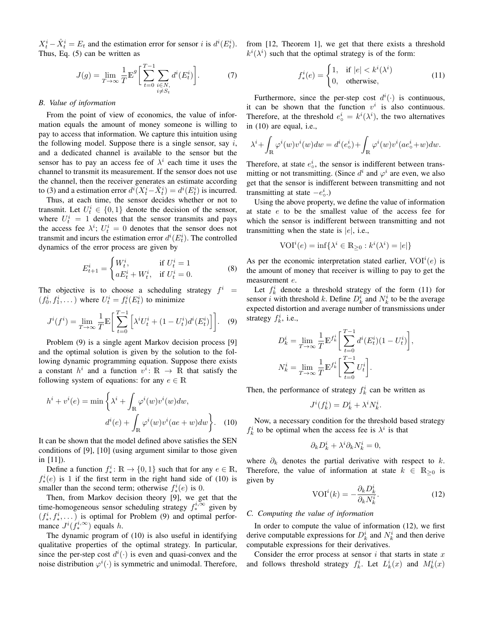$X_t^i - \hat{X}_t^i = E_t$  and the estimation error for sensor *i* is  $d^i(E_t^i)$ . from [12, Theorem 1], we get that there exists a threshold Thus, Eq. (5) can be written as

$$
J(g) = \lim_{T \to \infty} \frac{1}{T} \mathbb{E}^g \bigg[ \sum_{t=0}^{T-1} \sum_{\substack{i \in N, \\ i \neq S_t}} d^i(E_i^i) \bigg]. \tag{7}
$$

#### *B. Value of information*

From the point of view of economics, the value of information equals the amount of money someone is willing to pay to access that information. We capture this intuition using the following model. Suppose there is a single sensor, say  $i$ , and a dedicated channel is available to the sensor but the sensor has to pay an access fee of  $\lambda^i$  each time it uses the channel to transmit its measurement. If the sensor does not use the channel, then the receiver generates an estimate according to (3) and a estimation error  $d^{i} (X_t^i - \hat{X}_t^i) = d^{i} (E_t^i)$  is incurred.

Thus, at each time, the sensor decides whether or not to transmit. Let  $U_t^i \in \{0,1\}$  denote the decision of the sensor, where  $U_t^i = 1$  denotes that the sensor transmits and pays the access fee  $\lambda^i$ ;  $U_t^i = 0$  denotes that the sensor does not transmit and incurs the estimation error  $d^{i}(E_{t}^{i})$ . The controlled dynamics of the error process are given by

$$
E_{t+1}^i = \begin{cases} W_t^i, & \text{if } U_t^i = 1\\ aE_t^i + W_t^i, & \text{if } U_t^i = 0. \end{cases}
$$
 (8)

The objective is to choose a scheduling strategy  $f^i$  =  $(f_0^i, f_1^i, \dots)$  where  $U_t^i = f_t^i(E_t^i)$  to minimize

$$
J^{i}(f^{i}) = \lim_{T \to \infty} \frac{1}{T} \mathbb{E} \bigg[ \sum_{t=0}^{T-1} \left[ \lambda^{i} U_{t}^{i} + (1 - U_{t}^{i}) d^{i} (E_{t}^{i}) \right] \bigg]. \tag{9}
$$

Problem (9) is a single agent Markov decision process [9] and the optimal solution is given by the solution to the following dynamic programming equation. Suppose there exists a constant  $h^i$  and a function  $v^i$ :  $\mathbb{R} \to \overline{\mathbb{R}}$  that satisfy the following system of equations: for any  $e \in \mathbb{R}$ 

$$
h^{i} + v^{i}(e) = \min \left\{ \lambda^{i} + \int_{\mathbb{R}} \varphi^{i}(w)v^{i}(w)dw, \ d^{i}(e) + \int_{\mathbb{R}} \varphi^{i}(w)v^{i}(ae+w)dw \right\}.
$$
 (10)

It can be shown that the model defined above satisfies the SEN conditions of [9], [10] (using argument similar to those given in [11]).

Define a function  $f^i_* \colon \mathbb{R} \to \{0, 1\}$  such that for any  $e \in \mathbb{R}$ ,  $f^i_*(e)$  is 1 if the first term in the right hand side of (10) is smaller than the second term; otherwise  $f^i_*(e)$  is 0.

Then, from Markov decision theory [9], we get that the time-homogeneous sensor scheduling strategy  $f^{i,\infty}$  given by  $(f_*^i, f_*^i, \dots)$  is optimal for Problem (9) and optimal performance  $J^i(f_*^{i,\infty})$  equals h.

The dynamic program of (10) is also useful in identifying qualitative properties of the optimal strategy. In particular, since the per-step cost  $d^{i}(\cdot)$  is even and quasi-convex and the noise distribution  $\varphi^i(\cdot)$  is symmetric and unimodal. Therefore,  $k^{i}(\lambda^{i})$  such that the optimal strategy is of the form:

$$
f_*^i(e) = \begin{cases} 1, & \text{if } |e| < k^i(\lambda^i) \\ 0, & \text{otherwise,} \end{cases} \tag{11}
$$

Furthermore, since the per-step cost  $d^{i}(\cdot)$  is continuous, it can be shown that the function  $v^i$  is also continuous. Therefore, at the threshold  $e_0^i = k^i(\lambda^i)$ , the two alternatives in (10) are equal, i.e.,

$$
\lambda^{i} + \int_{\mathbb{R}} \varphi^{i}(w)v^{i}(w)dw = d^{i}(e_{\circ}^{i}) + \int_{\mathbb{R}} \varphi^{i}(w)v^{i}(ae_{\circ}^{i}+w)dw.
$$

Therefore, at state  $e_0^i$ , the sensor is indifferent between transmitting or not transmitting. (Since  $d^i$  and  $\varphi^i$  are even, we also get that the sensor is indifferent between transmitting and not transmitting at state  $-e_0^i$ .)

Using the above property, we define the value of information at state  $e$  to be the smallest value of the access fee for which the sensor is indifferent between transmitting and not transmitting when the state is  $|e|$ , i.e.,

$$
\text{VOI}^i(e) = \inf \{ \lambda^i \in \mathbb{R}_{\geq 0} : k^i(\lambda^i) = |e| \}
$$

As per the economic interpretation stated earlier,  $VOI<sup>i</sup>(e)$  is the amount of money that receiver is willing to pay to get the measurement e.

Let  $f_k^i$  denote a threshold strategy of the form (11) for sensor *i* with threshold *k*. Define  $D_k^i$  and  $N_k^i$  to be the average expected distortion and average number of transmissions under strategy  $f_k^i$ , i.e.,

$$
D_k^i = \lim_{T \to \infty} \frac{1}{T} \mathbb{E}^{f_k^i} \left[ \sum_{t=0}^{T-1} d^i (E_t^i) (1 - U_t^i) \right],
$$
  

$$
N_k^i = \lim_{T \to \infty} \frac{1}{T} \mathbb{E}^{f_k^i} \left[ \sum_{t=0}^{T-1} U_t^i \right].
$$

Then, the performance of strategy  $f_k^i$  can be written as

$$
J^i(f_k^i) = D_k^i + \lambda^i N_k^i.
$$

Now, a necessary condition for the threshold based strategy  $f_k^i$  to be optimal when the access fee is  $\lambda^i$  is that

$$
\partial_k D_k^i + \lambda^i \partial_k N_k^i = 0,
$$

where  $\partial_k$  denotes the partial derivative with respect to k. Therefore, the value of information at state  $k \in \mathbb{R}_{\geq 0}$  is given by

$$
\text{VOI}^i(k) = -\frac{\partial_k D_k^i}{\partial_k N_k^i}.
$$
\n(12)

# *C. Computing the value of information*

In order to compute the value of information (12), we first derive computable expressions for  $D_k^i$  and  $N_k^i$  and then derive computable expressions for their derivatives.

Consider the error process at sensor  $i$  that starts in state  $x$ and follows threshold strategy  $f_k^i$ . Let  $L_k^i(x)$  and  $M_k^i(x)$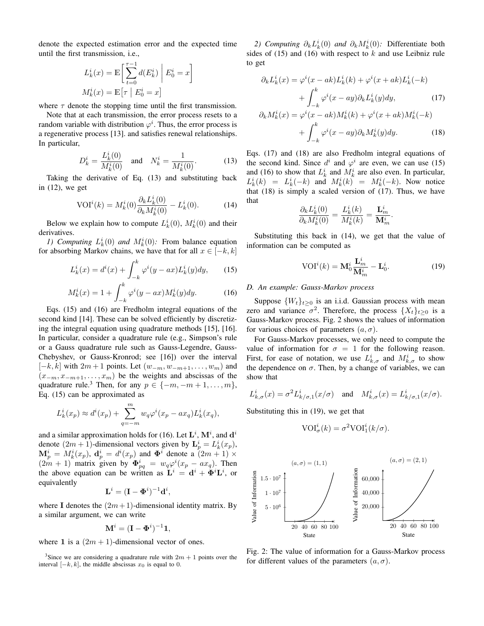denote the expected estimation error and the expected time until the first transmission, i.e.,

$$
L_k^i(x) = \mathbb{E}\left[\sum_{t=0}^{\tau-1} d(E_k^i) \middle| E_0^i = x\right]
$$

$$
M_k^i(x) = \mathbb{E}\left[\tau \middle| E_0^i = x\right]
$$

where  $\tau$  denote the stopping time until the first transmission.

Note that at each transmission, the error process resets to a random variable with distribution  $\varphi^i$ . Thus, the error process is a regenerative process [13]. and satisfies renewal relationships. In particular,

$$
D_k^i = \frac{L_k^i(0)}{M_k^i(0)} \quad \text{and} \quad N_k^i = \frac{1}{M_k^i(0)}.\tag{13}
$$

Taking the derivative of Eq. (13) and substituting back in (12), we get

$$
\text{VOI}^{i}(k) = M_{k}^{i}(0) \frac{\partial_{k} L_{k}^{i}(0)}{\partial_{k} M_{k}^{i}(0)} - L_{k}^{i}(0). \tag{14}
$$

Below we explain how to compute  $L_k^i(0)$ ,  $M_k^i(0)$  and their derivatives.

*1)* Computing  $L_k^i(0)$  and  $M_k^i(0)$ : From balance equation for absorbing Markov chains, we have that for all  $x \in [-k, k]$ 

$$
L_k^i(x) = d^i(x) + \int_{-k}^k \varphi^i(y - ax) L_k^i(y) dy, \qquad (15)
$$

$$
M_k^i(x) = 1 + \int_{-k}^k \varphi^i(y - ax) M_k^i(y) dy.
$$
 (16)

Eqs. (15) and (16) are Fredholm integral equations of the second kind [14]. These can be solved efficiently by discretizing the integral equation using quadrature methods [15], [16]. In particular, consider a quadrature rule (e.g., Simpson's rule or a Gauss quadrature rule such as Gauss-Legendre, Gauss-Chebyshev, or Gauss-Kronrod; see [16]) over the interval  $[-k, k]$  with  $2m + 1$  points. Let  $(w_{-m}, w_{-m+1}, \ldots, w_m)$  and  $(x_{-m}, x_{-m+1},...,x_m)$  be the weights and abscissas of the quadrature rule.<sup>3</sup> Then, for any  $p \in \{-m, -m+1, \ldots, m\},\$ Eq. (15) can be approximated as

$$
L_k^i(x_p) \approx d^i(x_p) + \sum_{q=-m}^m w_q \varphi^i(x_p - ax_q) L_k^i(x_q),
$$

and a similar approximation holds for (16). Let  $\mathbf{L}^i$ ,  $\mathbf{M}^i$ , and  $\mathbf{d}^i$ denote  $(2m + 1)$ -dimensional vectors given by  $\mathbf{L}_p^i = L_k^i(x_p)$ ,  $\mathbf{M}_p^i = M_k^i(x_p)$ ,  $\mathbf{d}_p^i = d^i(x_p)$  and  $\mathbf{\Phi}^i$  denote a  $(2m+1) \times$  $(2m + 1)$  matrix given by  $\Phi_{pq}^i = w_q \varphi^i (x_p - a x_q)$ . Then the above equation can be written as  $\mathbf{L}^i = \mathbf{d}^i + \mathbf{\Phi}^i \mathbf{L}^i$ , or equivalently

$$
\mathbf{L}^{i} = (\mathbf{I} - \mathbf{\Phi}^{i})^{-1} \mathbf{d}^{i},
$$

where I denotes the  $(2m + 1)$ -dimensional identity matrix. By a similar argument, we can write

$$
\mathbf{M}^i = (\mathbf{I} - \mathbf{\Phi}^i)^{-1} \mathbf{1},
$$

where 1 is a  $(2m + 1)$ -dimensional vector of ones.

<sup>3</sup>Since we are considering a quadrature rule with  $2m + 1$  points over the interval  $[-k, k]$ , the middle abscissas  $x_0$  is equal to 0.

2) *Computing*  $\partial_k L_k^i(0)$  *and*  $\partial_k M_k^i(0)$ : Differentiate both sides of (15) and (16) with respect to  $k$  and use Leibniz rule to get

$$
\partial_k L_k^i(x) = \varphi^i(x - ak)L_k^i(k) + \varphi^i(x + ak)L_k^i(-k)
$$

$$
+ \int_{-k}^k \varphi^i(x - ay)\partial_k L_k^i(y)dy, \qquad (17)
$$

$$
\partial_k M_k^i(x) = \varphi^i(x - ak)M_k^i(k) + \varphi^i(x + ak)M_k^i(-k)
$$

$$
u_k(x) = \varphi(x - a\kappa)M_k(\kappa) + \varphi(x + a\kappa)M_k(-\kappa)
$$
  
+ 
$$
\int_{-k}^{k} \varphi^i(x - ay)\partial_k M_k^i(y)dy.
$$
 (18)

Eqs. (17) and (18) are also Fredholm integral equations of the second kind. Since  $d^i$  and  $\varphi^i$  are even, we can use (15) and (16) to show that  $L_k^i$  and  $M_k^i$  are also even. In particular,  $L_k^i(k) = L_k^i(-k)$  and  $M_k^i(k) = M_k^i(-k)$ . Now notice that  $(18)$  is simply a scaled version of  $(17)$ . Thus, we have that

$$
\frac{\partial_k L_k^i(0)}{\partial_k M_k^i(0)} = \frac{L_k^i(k)}{M_k^i(k)} = \frac{\mathbf{L}_m^i}{\mathbf{M}_m^i}.
$$

Substituting this back in (14), we get that the value of information can be computed as

$$
\text{VOI}^i(k) = \mathbf{M}_0^i \frac{\mathbf{L}_m^i}{\mathbf{M}_m^i} - \mathbf{L}_0^i. \tag{19}
$$

## *D. An example: Gauss-Markov process*

Suppose  ${W_t}_{t>0}$  is an i.i.d. Gaussian process with mean zero and variance  $\sigma^2$ . Therefore, the process  $\{X_t\}_{t\geq 0}$  is a Gauss-Markov process. Fig. 2 shows the values of information for various choices of parameters  $(a, \sigma)$ .

For Gauss-Markov processes, we only need to compute the value of information for  $\sigma = 1$  for the following reason. First, for ease of notation, we use  $L^i_{k,\sigma}$  and  $M^i_{k,\sigma}$  to show the dependence on  $\sigma$ . Then, by a change of variables, we can show that

$$
L^i_{k,\sigma}(x) = \sigma^2 L^i_{k/\sigma,1}(x/\sigma) \quad \text{and} \quad M^i_{k,\sigma}(x) = L^i_{k/\sigma,1}(x/\sigma).
$$

Substituting this in (19), we get that

$$
VOI_{\sigma}^{i}(k) = \sigma^{2}VOI_{1}^{i}(k/\sigma).
$$



Fig. 2: The value of information for a Gauss-Markov process for different values of the parameters  $(a, \sigma)$ .